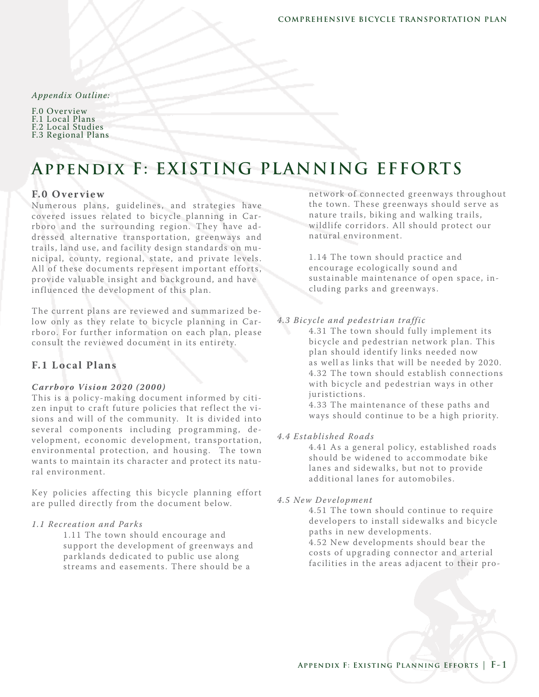#### *Appendix Outline:*

| F.0 Overview       |
|--------------------|
| F.1 Local Plans    |
| F.2 Local Studies  |
| F.3 Regional Plans |

# **Appendix F: EXISTING PLANNING EFFORTS**

## **F.0 O ver vie w**

Numerous plans, guidelines, and strategies have covered issues related to bicycle planning in Carrboro and the surrounding region. They have addressed alternative transportation, greenways and trails , land use, and facility design standards on municipal, county, regional, state, and private levels. All of these documents represent important efforts, provide valuable insight and background, and have influenced the development of this plan.

The current plans are reviewed and summarized below only as they relate to bicycle planning in Carrboro. For further information on each plan, please consult the re vie wed document in its entirety.

## **F.1 Lo cal Plans**

#### *C ar rboro Vi sion 2020 (2000)*

This is a policy-making document informed by citizen input to craft future policies that reflect the visions and will of the community. It is divided into several components including programming, development, economic de velopment, transportation, environmental protection, and housing. The town wants to maintain its character and protect its natural environment.

Key policies affecting this bicycle planning effort are pulled directly from the document below.

#### *1.1 Recreation and Park s*

1.11 The town should encourage and support the development of greenways and parklands dedicated to public use along streams and easements. There should be a

network of connected greenways throughout the town. These greenways should serve as nature trails, biking and walking trails, wildlife corridors . All should protect our natural environment.

1.14 The town should practice and encourage ecologically sound and sustainable maintenance of open space, including parks and greenways .

## *4.3 Bicycle and pedestrian traffic*

4.31 The town should fully implement its bic ycle and pedestrian network plan. This plan should identify links needed now as well as links that will be needed by 2020. 4.32 The town should establish connections with bicycle and pedestrian ways in other juristictions .

4.33 The maintenance of these paths and ways should continue to be a high priority.

#### *4.4 Established Roads*

4.41 As a general policy, established roads should be widened to accommodate bike lanes and sidewalks, but not to provide additional lanes for automobiles.

#### *4.5 New Development*

4.51 The town should continue to require developers to install sidewalks and bicycle paths in new developments.

4.52 New developments should bear the costs of upgrading connector and arterial facilities in the areas adjacent to their pro-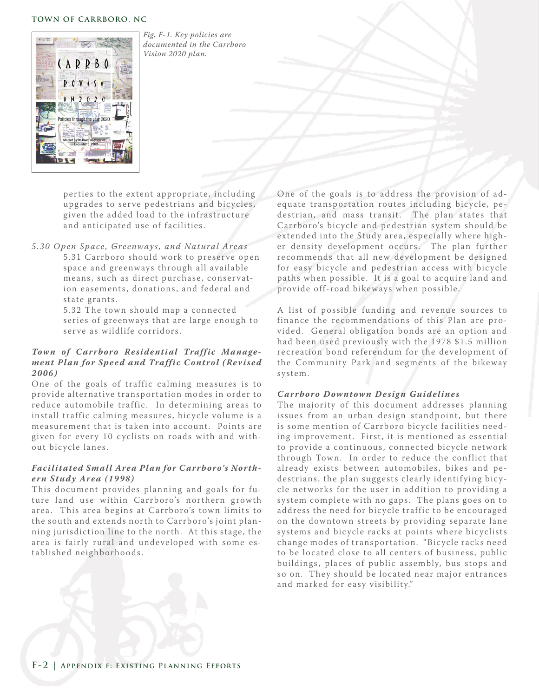#### **TOWN OF CARRBORO, NC**



*Fig. F-1. Key policies are documented in the Carrboro Vision 2020 plan.*

perties to the extent appropriate, including upgrades to serve pedestrians and bicycles, given the added load to the infrastructure and anticipated use of facilities .

*5.30 O pen Space , Greenways, and Natural Area s*  5.31 Carrboro should work to preserve open space and greenways through all available means, such as direct purchase, conservation easements, donations, and federal and state grants .

> 5.32 The town should map a connected series of greenways that are large enough to serve as wildlife corridors.

## Town of Carrboro Residential Traffic Manage*ment Plan for Speed and Traffic Control (Revised 2006)*

One of the goals of traffic calming measures is to provide alternative transportation modes in order to reduce automobile traffic. In determining areas to install traffic calming measures, bicycle volume is a measurement that is taken into account. Points are given for every 10 cyclists on roads with and without bicycle lanes.

## Facilitated Small Area Plan for Carrboro's North*er n Study Area (1998)*

This document provides planning and goals for future land use within Carrboro's northern growth area. This area begins at Carrboro's town limits to the south and extends north to Carrboro's joint planning jurisdiction line to the north. At this stage, the area is fairly rural and undeveloped with some established neighborhoods .

One of the goals is to address the provision of adequate transportation routes including bicycle, pedestrian, and mass transit. The plan states that Carrboro's bicycle and pedestrian system should be extended into the Study area, especially where higher density development occurs. The plan further recommends that all new development be designed for easy bicycle and pedestrian access with bicycle paths when possible. It is a goal to acquire land and provide off-road bike ways when possible.

A list of possible funding and re venue sources to finance the recommendations of this Plan are provided. General obligation bonds are an option and had been used previously with the 1978 \$1.5 million recreation bond referendum for the development of the Community Park and segments of the bikeway system.

## *Carrboro Downtown Design Guidelines*

The majority of this document addresses planning issues from an urban design standpoint, but there is some mention of Carrboro bicycle facilities needing improvement. First, it is mentioned as essential to provide a continuous, connected bicycle network through Town. In order to reduce the conflict that already exists between automobiles, bikes and pedestrians, the plan suggests clearly identifying bicycle networks for the user in addition to providing a system complete with no gaps. The plans goes on to address the need for bicycle traffic to be encouraged on the downtown streets by providing separate lane systems and bicycle racks at points where bicyclists change modes of transportation. "Bicycle racks need to be located close to all centers of business, public buildings, places of public assembly, bus stops and so on. They should be located near major entrances and marked for easy visibility."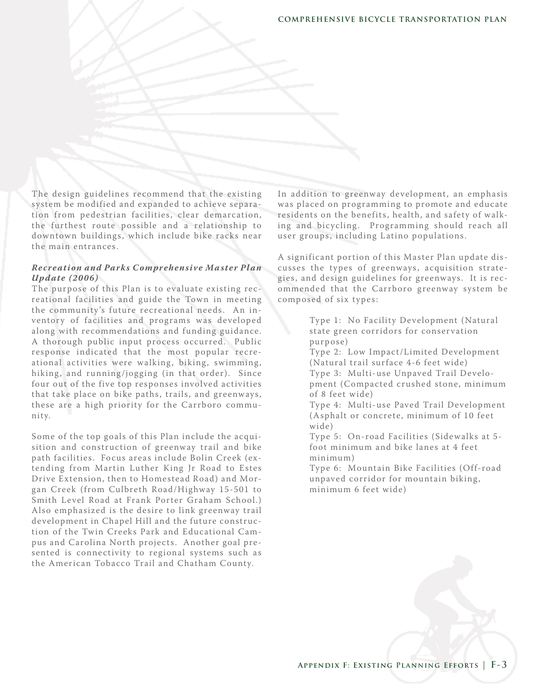The design guidelines recommend that the existing system be modified and expanded to achieve separation from pedestrian facilities, clear demarcation, the furthest route possible and a relationship to downtown buildings, which include bike racks near the main entrances .

## *Recreation and Park s C omprehensive Ma ster Plan Update (2006)*

The purpose of this Plan is to evaluate existing recreational facilities and guide the Town in meeting the community's future recreational needs. An inventory of facilities and programs was developed along with recommendations and funding guidance. A thorough public input process occurred. Public response indicated that the most popular recreational activities were walking, biking, swimming, hiking, and running/jogging (in that order). Since four out of the five top responses involved activities that take place on bike paths, trails, and greenways, these are a high priority for the Carrboro community.

Some of the top goals of this Plan include the acquisition and construction of greenway trail and bike path facilities. Focus areas include Bolin Creek (extending from Martin Luther King Jr Road to Estes Drive Extension, then to Homestead Road) and Morgan Creek (from Culbreth Road/Highway 15-501 to Smith Level Road at Frank Porter Graham School.) Also emphasized is the desire to link greenway trail de velopment in Chapel Hill and the future construction of the Twin Creeks Park and Educational Campus and Carolina North projects. Another goal presented is connectivity to regional systems such as the American Tobacco Trail and Chatham County.

In addition to greenway development, an emphasis was placed on programming to promote and educate residents on the benefits, health, and safety of walking and bicycling. Programming should reach all user groups, including Latino populations.

A significant portion of this Master Plan update discusses the types of greenways, acquisition strategies, and design guidelines for greenways. It is recommended that the Carrboro greenway system be composed of six types :

> Type 1: No Facility Development (Natural state green corridors for conservation purpose)

Type 2: Low Impact/Limited De velopment (Natural trail surface 4-6 feet wide)

Type 3: Multi-use Unpaved Trail Development (Compacted crushed stone, minimum of 8 feet wide)

Type 4: Multi-use Paved Trail Development (Asphalt or concrete, minimum of 10 feet wide)

Type 5: On-road Facilities (Sidewalks at 5foot minimum and bike lanes at 4 feet minimum)

Type 6: Mountain Bike Facilities (Off-road unpaved corridor for mountain biking, minimum 6 feet wide)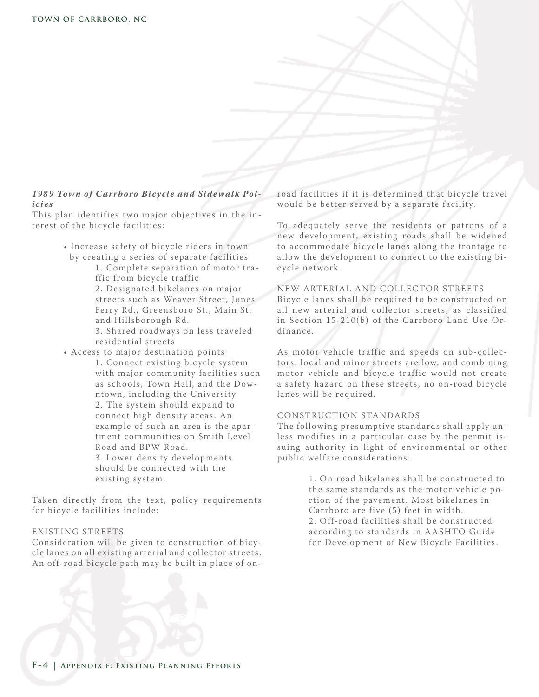## 1989 Town of Carrboro Bicycle and Sidewalk Pol*icie s*

This plan identifies two major objectives in the interest of the bicycle facilities:

- Increase safety of bicycle riders in town by creating a series of separate facilities
	- 1. Complete separation of motor tra ffic from bicycle traffic 2. Designated bikelanes on major streets such as Weaver Street, Jones Ferry Rd., Greensboro St., Main St. and Hillsborough Rd.
	- 3. Shared roadways on less traveled residential streets
- Access to major destination points 1. Connect existing bicycle system with major community facilities such as schools, Town Hall, and the Dow ntown, including the University 2. The system should expand to connect high density areas . An example of such an area is the apar tment communities on Smith Level Road and BPW Road. 3. Lower density de velopments should be connected with the existing system.

Taken directly from the text, policy requirements for bicycle facilities include:

## EXISTING STREETS

Consideration will be given to construction of bicycle lanes on all existing arterial and collector streets . An off-road bic ycle path may be built in place of onroad facilities if it is determined that bicycle travel would be better ser ved by a separate facility.

To adequately serve the residents or patrons of a new development, existing roads shall be widened to accommodate bicycle lanes along the frontage to allow the development to connect to the existing bic ycle network .

#### NEW ARTERIAL AND COLLECTOR STREETS

Bic ycle lanes shall be required to be constructed on all new arterial and collector streets, as classified in Section  $15-210(b)$  of the Carrboro Land Use Ordinance.

As motor vehicle traffic and speeds on sub-collectors, local and minor streets are low, and combining motor vehicle and bicycle traffic would not create a safety hazard on these streets, no on-road bicycle lanes will be required.

#### CONSTRUC TION STANDARDS

The following presumptive standards shall apply unless modifies in a particular case by the permit issuing authority in light of environmental or other public welfare considerations .

> 1. On road bikelanes shall be constructed to the same standards as the motor vehicle portion of the pavement. Most bikelanes in Carrboro are five (5) feet in width. 2. Off-road facilities shall be constructed according to standards in AA SHTO Guide for Development of New Bicycle Facilities.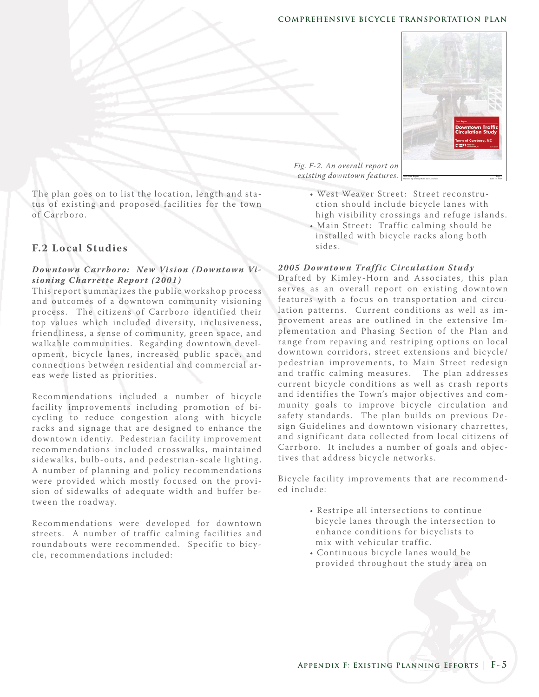## **COMPREHENSIVE BICYCLE TRANSPORTATION PLAN**



The plan goes on to list the location, length and status of existing and proposed facilities for the town of Carrboro.

## **F.2 Lo cal Studies**

## *Downtown Carrboro: New Vision (Downtown Visioning Charrette Report (2001)*

This report summarizes the public workshop process and outcomes of a downtown community visioning process. The citizens of Carrboro identified their top values which included diversity, inclusiveness , friendliness, a sense of community, green space, and walkable communities. Regarding downtown development, bicycle lanes, increased public space, and connections between residential and commercial areas were listed as priorities .

Recommendations included a number of bicycle facility improvements including promotion of bicycling to reduce congestion along with bicycle racks and signage that are designed to enhance the downtown identiy. Pedestrian facility improvement recommendations included crosswalks, maintained side walks, bulb-outs, and pedestrian-scale lighting. A number of planning and policy recommendations were provided which mostly focused on the provision of side walks of adequate width and buffer between the roadway.

Recommendations were developed for downtown streets . A number of traffic calming facilities and roundabouts were recommended. Specific to bicycle, recommendations included:

- West Weaver Street : Street reconstru ction should include bic ycle lanes with high visibility crossings and refuge islands .
- Main Street: Traffic calming should be installed with bicycle racks along both sides .

## 2005 Downtown Traffic Circulation Study

Drafted by Kimley-Horn and Associates, this plan serves as an overall report on existing downtown features with a focus on transportation and circulation patterns. Current conditions as well as improvement areas are outlined in the extensive Implementation and Phasing Section of the Plan and range from repaving and restriping options on local downtown corridors, street extensions and bicycle/ pedestrian improvements, to Main Street redesign and traffic calming measures. The plan addresses current bicycle conditions as well as crash reports and identifies the Town's major objectives and community goals to improve bicycle circulation and safety standards. The plan builds on previous Design Guidelines and downtown visionary charrettes, and significant data collected from local citizens of Carrboro. It includes a number of goals and objectives that address bicycle networks.

Bic ycle facility improvements that are recommended include:

- Restripe all intersections to continue bicycle lanes through the intersection to enhance conditions for bicyclists to mix with vehicular traffic.
- Continuous bic ycle lanes would be provided throughout the study area on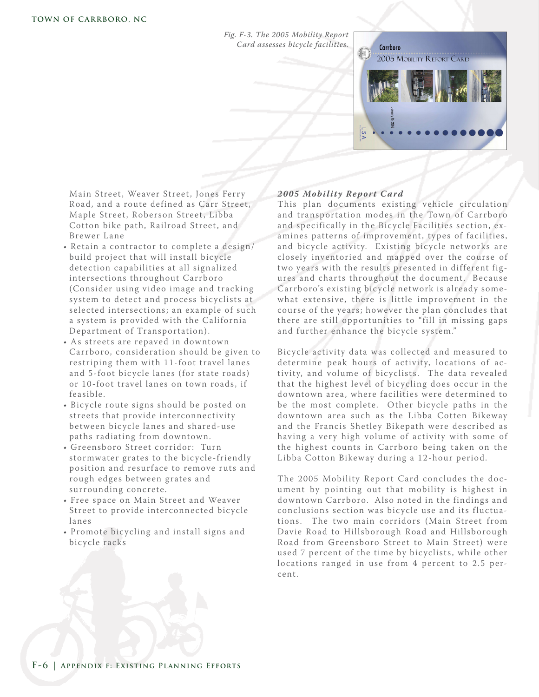*Fig. F-3. The 2005 Mobility Report Card assesses bicycle facilities.*



Main Street, Weaver Street, Jones Ferry Road, and a route defined as Carr Street, Maple Street, Roberson Street, Libba Cotton bike path, Railroad Street, and Bre wer L ane

- Retain a contractor to complete a design/ build project that will install bicycle detection capabilities at all signalized intersections throughout Carrboro (Consider using video image and tracking system to detect and process bicyclists at selected intersections; an example of such a system is provided with the California Department of Transportation).
- As streets are repaved in downtown Carrboro, consideration should be given to restriping them with 11-foot travel lanes and 5-foot bicycle lanes (for state roads) or 10-foot travel lanes on town roads , if feasible.
- Bicycle route signs should be posted on streets that provide interconnectivity between bic ycle lanes and shared-use paths radiating from downtown.
- Greensboro Street corridor: Turn stormwater grates to the bicycle-friendly position and resurface to remove ruts and rough edges between grates and surrounding concrete.
- Free space on Main Street and Weaver Street to provide interconnected bicycle lanes
- Promote bic ycling and install signs and bicycle racks

## 2005 Mobility Report Card

This plan documents existing vehicle circulation and transportation modes in the Town of Carrboro and specifically in the Bicycle Facilities section, examines patterns of improvement, types of facilities, and bicycle activity. Existing bicycle networks are closely inventoried and mapped over the course of two years with the results presented in different figures and charts throughout the document. Because Carrboro's existing bicycle network is already somewhat extensive, there is little improvement in the course of the years; however the plan concludes that there are still opportunities to "fill in missing gaps and further enhance the bicycle system."

Bic ycle activity data was collected and measured to determine peak hours of activity, locations of activity, and volume of bicyclists. The data revealed that the highest level of bicycling does occur in the downtown area, where facilities were determined to be the most complete. Other bicycle paths in the downtown area such as the Libba Cotten Bikeway and the Francis Shetley Bikepath were described as having a very high volume of activity with some of the highest counts in Carrboro being taken on the Libba Cotton Bike way during a 12-hour period.

The 2005 Mobility Report Card concludes the document by pointing out that mobility is highest in downtown Carrboro. Also noted in the findings and conclusions section was bicycle use and its fluctuations. The two main corridors (Main Street from Davie Road to Hillsborough Road and Hillsborough Road from Greensboro Street to Main Street) were used 7 percent of the time by bicyclists, while other locations ranged in use from 4 percent to 2.5 percent.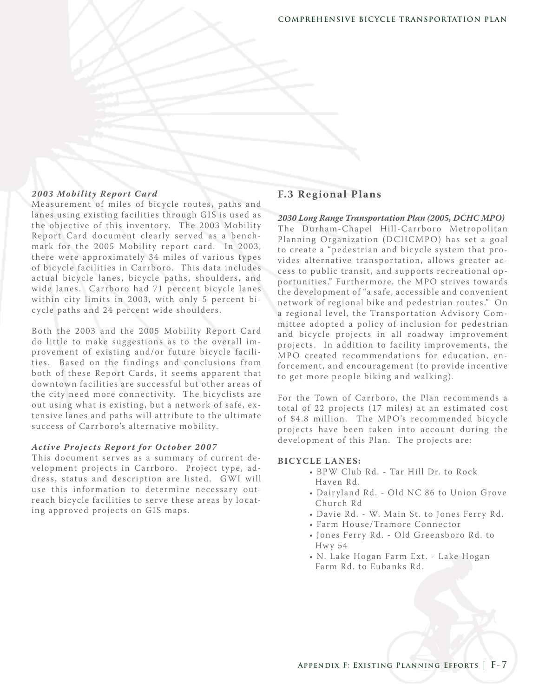## 2003 Mobility Report Card

Measurement of miles of bicycle routes, paths and lanes using existing facilities through GIS is used as the objective of this inventory. The 2003 Mobility Report Card document clearly ser ved as a benchmark for the 2005 Mobility report card. In 2003, there were approximately 34 miles of various types of bic ycle facilities in Carrboro. This data includes actual bicycle lanes, bicycle paths, shoulders, and wide lanes. Carrboro had 71 percent bicycle lanes within city limits in 2003, with only 5 percent bicycle paths and 24 percent wide shoulders.

B oth the 2003 and the 2005 Mobility Report Card do little to make suggestions as to the overall improvement of existing and/or future bicycle facilities. Based on the findings and conclusions from both of these Report Cards, it seems apparent that downtown facilities are successful but other areas of the city need more connectivity. The bicyclists are out using what is existing, but a network of safe, extensive lanes and paths will attribute to the ultimate success of Carrboro's alternative mobility.

#### Active Projects Report for October 2007

This document serves as a summary of current development projects in Carrboro. Project type, address, status and description are listed. GWI will use this information to determine necessary outreach bicycle facilities to serve these areas by locating approved projects on GIS maps .

## **F.3 Regional Plans**

*2030 Long Range Transportation Plan (2005, DCHC MPO)* The Durham-Chapel Hill-Carrboro Metropolitan Planning Organization (DCHCMPO) has set a goal to create a "pedestrian and bicycle system that provides alternative transportation, allows greater access to public transit, and supports recreational opportunities ." Furthermore, the MPO strives towards the development of "a safe, accessible and convenient network of regional bike and pedestrian routes ." On a regional level, the Transportation Advisory Committee adopted a policy of inclusion for pedestrian and bicycle projects in all roadway improvement projects. In addition to facility improvements, the MPO created recommendations for education, enforcement, and encouragement (to provide incentive to get more people biking and walking).

For the Town of Carrboro, the Plan recommends a total of 22 projects (17 miles) at an estimated cost of \$4.8 million. The MPO's recommended bicycle projects have been taken into account during the de velopment of this Plan. The projects are:

#### **BIC YC LE L ANE S:**

- BPW Club Rd. Tar Hill Dr. to Rock Haven Rd.
- Dairyland Rd. Old NC 86 to Union Grove Church Rd
- Davie Rd. W. Main St. to Jones Ferry Rd.
- Farm House/Tramore Connector
- Jones Ferry Rd. Old Greensboro Rd. to **Hwy 54**
- N. L ake Hogan Farm Ext. L ake Hogan Farm Rd. to Eubanks Rd.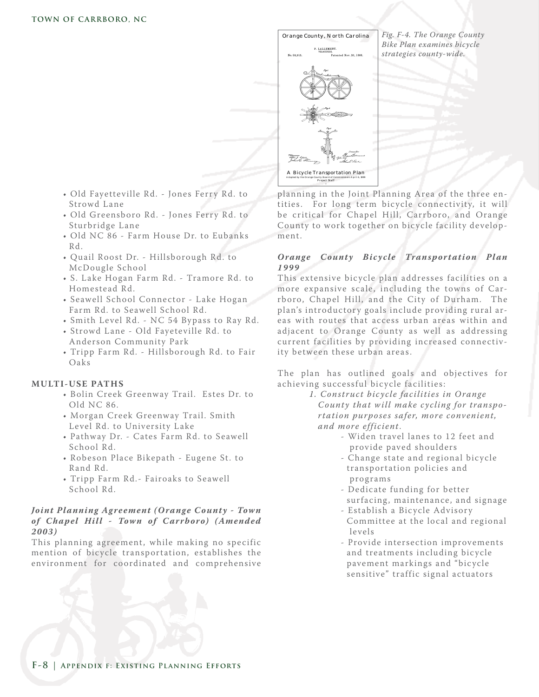

- Old Fayetteville Rd. Jones Ferry Rd. to Strowd Lane
- Old Greensboro Rd. Jones Ferry Rd. to Sturbridge Lane
- Old NC 86 Farm House Dr. to Eubanks Rd.
- Quail Roost Dr. Hillsborough Rd. to McDougle School
- S. L ake Hogan Farm Rd. Tramore Rd. to Homestead Rd.
- Seawell School Connector Lake Hogan Farm Rd. to Seawell School Rd.
- Smith Level Rd. NC 54 Bypass to Ray Rd.
- Strowd Lane Old Fayeteville Rd. to Anderson Community Park
- Tripp Farm Rd. Hillsborough Rd. to Fair Oaks

## **MULTI-USE PATHS**

- B olin Creek Greenway Trail. Estes Dr. to Old NC 86.
- Morgan Creek Greenway Trail. Smith Level Rd. to University Lake
- Pathway Dr. Cates Farm Rd. to Seawell School Rd.
- Robeson Place Bikepath Eugene St. to Rand Rd.
- Tripp Farm Rd.- Fairoaks to Seawell School Rd.

## *Joint Planning Agreement (Orange County - Town* of Chapel Hill - Town of Carrboro) (Amended *2003)*

This planning agreement, while making no specific mention of bicycle transportation, establishes the environment for coordinated and comprehensive planning in the Joint Planning Area of the three entities. For long term bicycle connectivity, it will be critical for Chapel Hill, Carrboro, and Orange County to work together on bicycle facility development.

## **Orange County Bicycle Transportation Plan** *1999*

This extensive bicycle plan addresses facilities on a more expansive scale, including the towns of Carrboro, Chapel Hill, and the City of Durham. The plan's introductory goals include providing rural areas with routes that access urban areas within and adjacent to Orange County as well as addressing current facilities by providing increased connectivity between these urban areas .

The plan has outlined goals and objectives for achieving successful bicycle facilities:

> *1. Construct bicycle facilities in O range County that will make cycling for transpo* rtation purposes safer, more convenient,  *and more efficient*.

- Widen travel lanes to 12 feet and provide paved shoulders
- Change state and regional bicycle transportation policies and programs
- Dedicate funding for better surfacing, maintenance, and signage
- Establish a Bicycle Advisory Committee at the local and regional le vels
- Provide intersection improvements and treatments including bicycle pavement markings and "bicycle sensitive" traffic signal actuators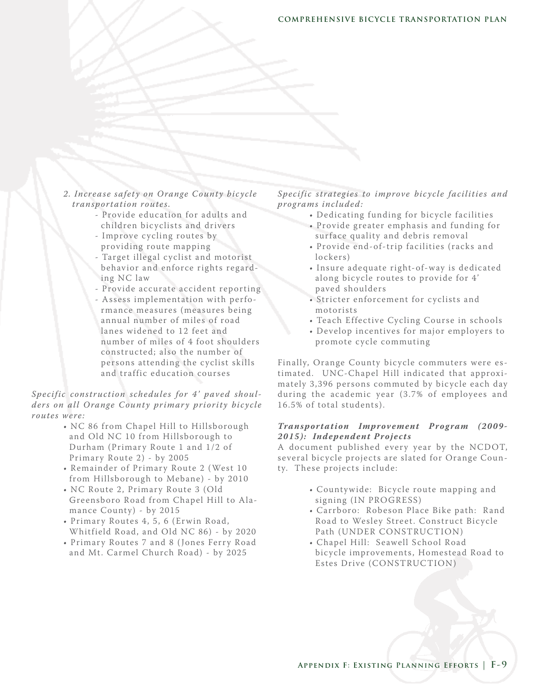- *2. Increa se safety on O range County bicycle transportation routes.*
	- Provide education for adults and children bic yclists and drivers
	- Improve cycling routes by providing route mapping
	- Target illegal c yclist and motorist behavior and enforce rights regard ing NC law
	- Provide accurate accident reporting
	- Assess implementation with perfo rmance measures (measures being annual number of miles of road lanes widened to 12 feet and number of miles of 4 foot shoulders constructed; also the number of persons attending the cyclist skills and traffic education courses

## *Specific construction schedules for 4' paved shoul*ders on all Orange County primary priority bicycle *routes were:*

- NC 86 from Chapel Hill to Hillsborough and Old NC 10 from Hillsborough to Durham (Primary Route 1 and 1/2 of Primary Route 2) - by 2005
- Remainder of Primary Route 2 (West 10 from Hillsborough to Mebane) - by 2010
- NC Route 2, Primary Route 3 (Old Greensboro Road from Chapel Hill to Ala mance County) - by 2015
- Primary Routes 4, 5, 6 (Erwin Road, Whitfield Road, and Old NC 86) - by 2020
- Primary Routes 7 and 8 (Jones Ferry Road and Mt. Carmel Church Road) - by 2025

Specific strategies to improve bicycle facilities and *prog rams included :*

- Dedicating funding for bicycle facilities
- Provide greater emphasis and funding for surface quality and debris removal
- Provide end-of-trip facilities (racks and lockers)
- Insure adequate right-of-way is dedicated along bicycle routes to provide for 4' paved shoulders
- Stricter enforcement for cyclists and motorists
- Teach Effective Cycling Course in schools
- De velop incentives for major employers to promote cycle commuting

Finally, Orange County bicycle commuters were estimated. UNC-Chapel Hill indicated that approximately 3,396 persons commuted by bicycle each day during the academic year (3.7% of employees and 16.5% of total students).

## **Transportation Improvement Program (2009-**2015): Independent Projects

A document published every year by the NCDOT, several bicycle projects are slated for Orange County. These projects include:

- Countywide: Bicycle route mapping and signing (IN PROGRESS)
- Carrboro: Robeson Place Bike path: Rand Road to Wesley Street. Construct Bicycle Path (UNDER CONSTRUCTION)
- Chapel Hill: Seawell School Road bic ycle improvements , Homestead Road to Estes Drive (CONSTRUCTION)